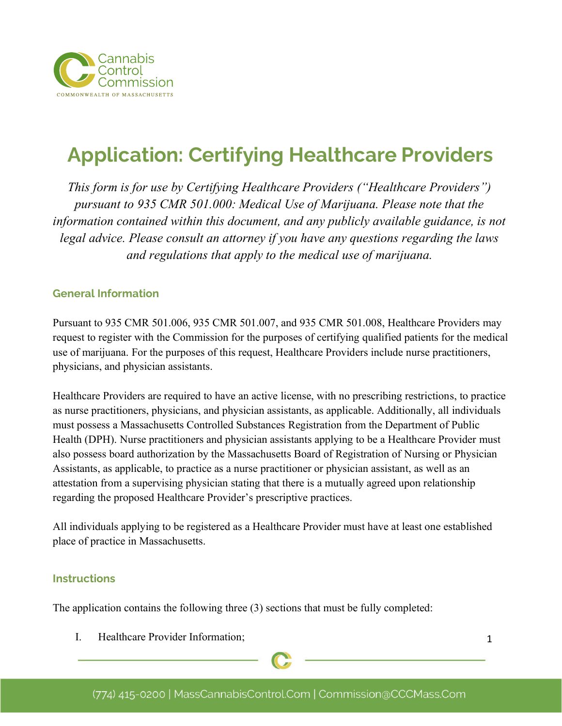

# **Application: Certifying Healthcare Providers**

*This form is for use by Certifying Healthcare Providers ("Healthcare Providers") pursuant to 935 CMR 501.000: Medical Use of Marijuana. Please note that the information contained within this document, and any publicly available guidance, is not legal advice. Please consult an attorney if you have any questions regarding the laws and regulations that apply to the medical use of marijuana.*

#### **General Information**

Pursuant to 935 CMR 501.006, 935 CMR 501.007, and 935 CMR 501.008, Healthcare Providers may request to register with the Commission for the purposes of certifying qualified patients for the medical use of marijuana. For the purposes of this request, Healthcare Providers include nurse practitioners, physicians, and physician assistants.

Healthcare Providers are required to have an active license, with no prescribing restrictions, to practice as nurse practitioners, physicians, and physician assistants, as applicable. Additionally, all individuals must possess a Massachusetts Controlled Substances Registration from the Department of Public Health (DPH). Nurse practitioners and physician assistants applying to be a Healthcare Provider must also possess board authorization by the Massachusetts Board of Registration of Nursing or Physician Assistants, as applicable, to practice as a nurse practitioner or physician assistant, as well as an attestation from a supervising physician stating that there is a mutually agreed upon relationship regarding the proposed Healthcare Provider's prescriptive practices.

All individuals applying to be registered as a Healthcare Provider must have at least one established place of practice in Massachusetts.

#### **Instructions**

The application contains the following three (3) sections that must be fully completed:

I. Healthcare Provider Information;

1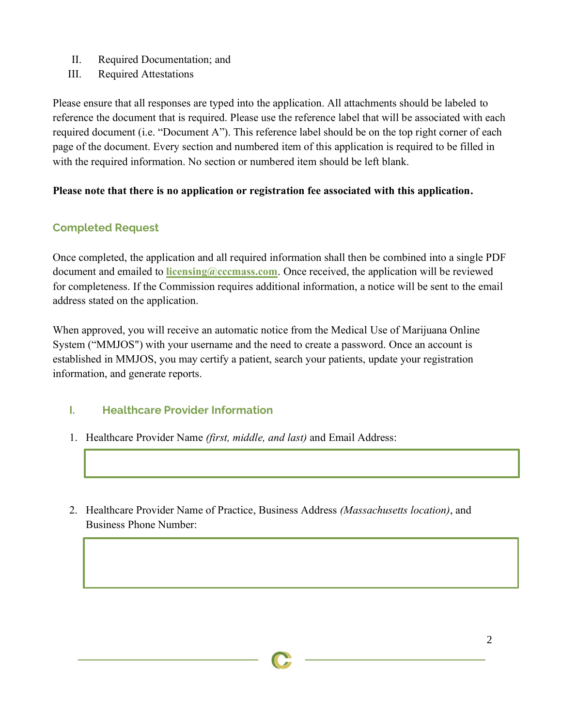- II. Required Documentation; and
- III. Required Attestations

Please ensure that all responses are typed into the application. All attachments should be labeled to reference the document that is required. Please use the reference label that will be associated with each required document (i.e. "Document A"). This reference label should be on the top right corner of each page of the document. Every section and numbered item of this application is required to be filled in with the required information. No section or numbered item should be left blank.

## **Please note that there is no application or registration fee associated with this application.**

# **Completed Request**

Once completed, the application and all required information shall then be combined into a single PDF document and emailed to **licensing@cccmass.com**. Once received, the application will be reviewed for completeness. If the Commission requires additional information, a notice will be sent to the email address stated on the application.

When approved, you will receive an automatic notice from the Medical Use of Marijuana Online System ("MMJOS") with your username and the need to create a password. Once an account is established in MMJOS, you may certify a patient, search your patients, update your registration information, and generate reports.

# **I. Healthcare Provider Information**

- 1. Healthcare Provider Name *(first, middle, and last)* and Email Address:
- 2. Healthcare Provider Name of Practice, Business Address *(Massachusetts location)*, and Business Phone Number: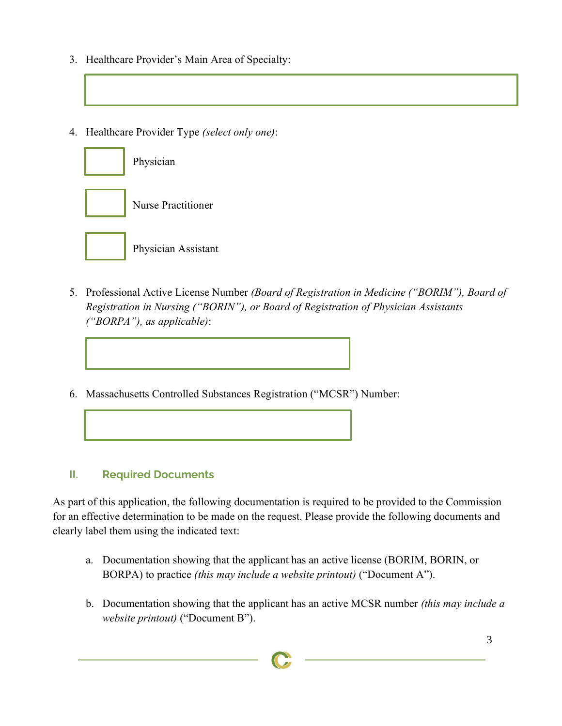- 3. Healthcare Provider's Main Area of Specialty:
- 4. Healthcare Provider Type *(select only one)*:



Physician Assistant

- 5. Professional Active License Number *(Board of Registration in Medicine ("BORIM"), Board of Registration in Nursing ("BORIN"), or Board of Registration of Physician Assistants ("BORPA"), as applicable)*:
- 6. Massachusetts Controlled Substances Registration ("MCSR") Number:

## **II. Required Documents**

l

As part of this application, the following documentation is required to be provided to the Commission for an effective determination to be made on the request. Please provide the following documents and clearly label them using the indicated text:

- a. Documentation showing that the applicant has an active license (BORIM, BORIN, or BORPA) to practice *(this may include a website printout)* ("Document A").
- b. Documentation showing that the applicant has an active MCSR number *(this may include a website printout)* ("Document B").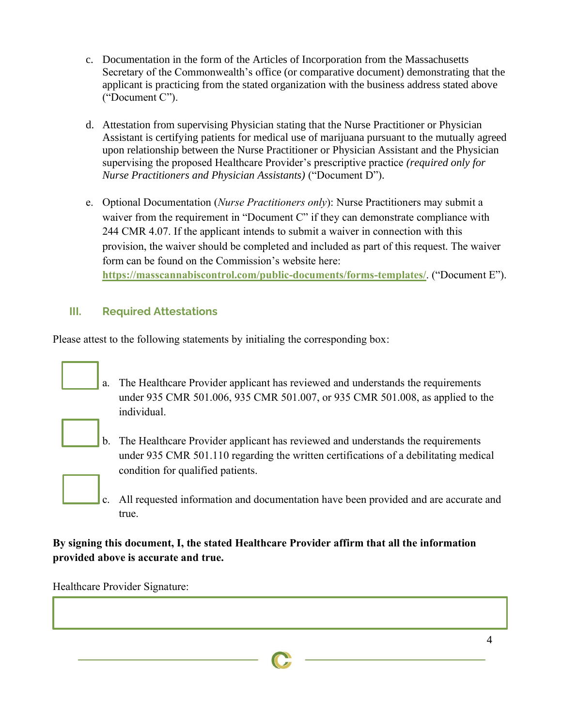- c. Documentation in the form of the Articles of Incorporation from the Massachusetts Secretary of the Commonwealth's office (or comparative document) demonstrating that the applicant is practicing from the stated organization with the business address stated above ("Document C").
- d. Attestation from supervising Physician stating that the Nurse Practitioner or Physician Assistant is certifying patients for medical use of marijuana pursuant to the mutually agreed upon relationship between the Nurse Practitioner or Physician Assistant and the Physician supervising the proposed Healthcare Provider's prescriptive practice *(required only for Nurse Practitioners and Physician Assistants)* ("Document D").
- e. Optional Documentation (*Nurse Practitioners only*): Nurse Practitioners may submit a waiver from the requirement in "Document C" if they can demonstrate compliance with 244 CMR 4.07. If the applicant intends to submit a waiver in connection with this provision, the waiver should be completed and included as part of this request. The waiver form can be found on the Commission's website here: **<https://masscannabiscontrol.com/public-documents/forms-templates/>**. ("Document E").

# **III. Required Attestations**

Please attest to the following statements by initialing the corresponding box:

a. The Healthcare Provider applicant has reviewed and understands the requirements under 935 CMR 501.006, 935 CMR 501.007, or 935 CMR 501.008, as applied to the individual.



- b. The Healthcare Provider applicant has reviewed and understands the requirements under 935 CMR 501.110 regarding the written certifications of a debilitating medical condition for qualified patients.
- c. All requested information and documentation have been provided and are accurate and true.

# **By signing this document, I, the stated Healthcare Provider affirm that all the information provided above is accurate and true.**

Healthcare Provider Signature: